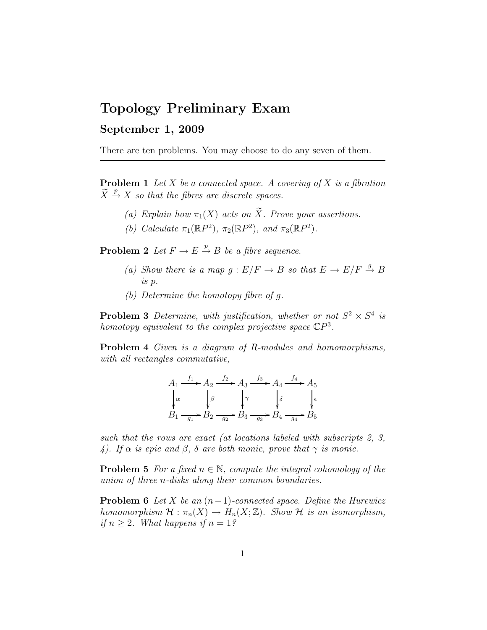## Topology Preliminary Exam

## September 1, 2009

There are ten problems. You may choose to do any seven of them.

**Problem 1** Let X be a connected space. A covering of X is a fibration  $\widetilde{X} \stackrel{p}{\rightarrow} X$  so that the fibres are discrete spaces.

- (a) Explain how  $\pi_1(X)$  acts on  $\widetilde{X}$ . Prove your assertions.
- (b) Calculate  $\pi_1(\mathbb{R}P^2)$ ,  $\pi_2(\mathbb{R}P^2)$ , and  $\pi_3(\mathbb{R}P^2)$ .

**Problem 2** Let  $F \to E \stackrel{p}{\to} B$  be a fibre sequence.

- (a) Show there is a map  $g : E/F \to B$  so that  $E \to E/F \stackrel{g}{\to} B$ is p.
- (b) Determine the homotopy fibre of g.

**Problem 3** Determine, with justification, whether or not  $S^2 \times S^4$  is homotopy equivalent to the complex projective space  $\mathbb{C}P^3$ .

Problem 4 Given is a diagram of R-modules and homomorphisms, with all rectangles commutative,

$$
A_1 \xrightarrow{f_1} A_2 \xrightarrow{f_2} A_3 \xrightarrow{f_3} A_4 \xrightarrow{f_4} A_5
$$
  

$$
\downarrow \alpha
$$
  

$$
B_1 \xrightarrow{g_1} B_2 \xrightarrow{g_2} B_3 \xrightarrow{g_3} B_4 \xrightarrow{g_4} B_5
$$

such that the rows are exact (at locations labeled with subscripts 2, 3, 4). If  $\alpha$  is epic and  $\beta$ ,  $\delta$  are both monic, prove that  $\gamma$  is monic.

**Problem 5** For a fixed  $n \in \mathbb{N}$ , compute the integral cohomology of the union of three n-disks along their common boundaries.

**Problem 6** Let X be an  $(n-1)$ -connected space. Define the Hurewicz homomorphism  $\mathcal{H} : \pi_n(X) \to H_n(X;\mathbb{Z})$ . Show  $\mathcal{H}$  is an isomorphism, if  $n > 2$ . What happens if  $n = 1$ ?